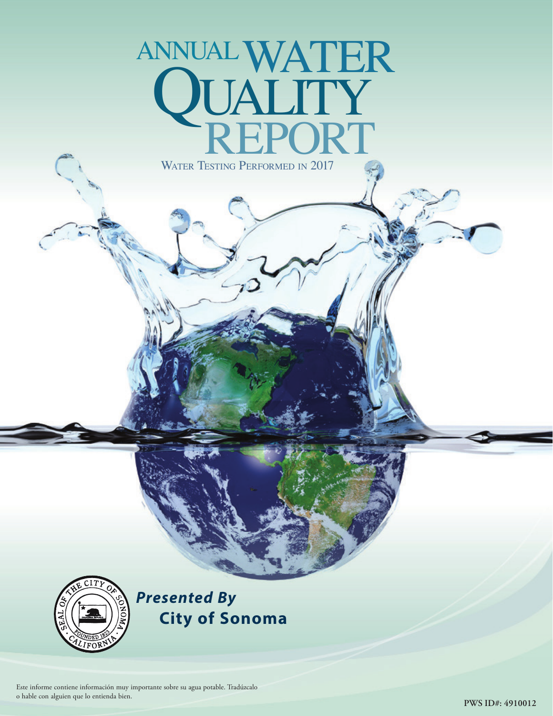# WATER TESTING PERFORMED IN 2017 ANNUAL WA' **QUALITY**<br>REPORT



*Presented By*  **City of Sonoma**

Este informe contiene información muy importante sobre su agua potable. Tradúzcalo o hable con alguien que lo entienda bien.

**PWS ID#: 4910012**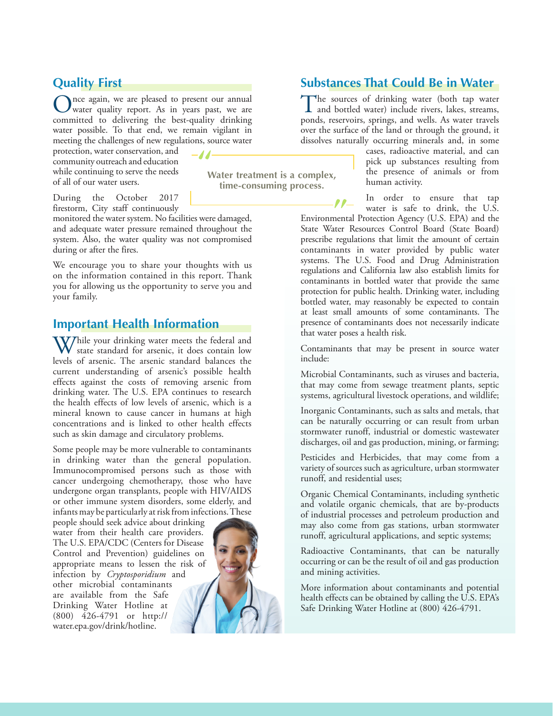## **Quality First**

nce again, we are pleased to present our annual water quality report. As in years past, we are committed to delivering the best-quality drinking water possible. To that end, we remain vigilant in meeting the challenges of new regulations, source water

 $-J/$ 

protection, water conservation, and community outreach and education while continuing to serve the needs of all of our water users.

**Water treatment is a complex, time-consuming process.**

During the October 2017 firestorm, City staff continuously

monitored the water system. No facilities were damaged, and adequate water pressure remained throughout the system. Also, the water quality was not compromised during or after the fires.

We encourage you to share your thoughts with us on the information contained in this report. Thank you for allowing us the opportunity to serve you and your family.

#### **Important Health Information**

While your drinking water meets the federal and state standard for arsenic, it does contain low levels of arsenic. The arsenic standard balances the current understanding of arsenic's possible health effects against the costs of removing arsenic from drinking water. The U.S. EPA continues to research the health effects of low levels of arsenic, which is a mineral known to cause cancer in humans at high concentrations and is linked to other health effects such as skin damage and circulatory problems.

Some people may be more vulnerable to contaminants in drinking water than the general population. Immunocompromised persons such as those with cancer undergoing chemotherapy, those who have undergone organ transplants, people with HIV/AIDS or other immune system disorders, some elderly, and infants may be particularly at risk from infections. These

people should seek advice about drinking water from their health care providers. The U.S. EPA/CDC (Centers for Disease Control and Prevention) guidelines on appropriate means to lessen the risk of infection by *Cryptosporidium* and other microbial contaminants are available from the Safe Drinking Water Hotline at (800) 426-4791 or http:// water.epa.gov/drink/hotline.



# **Substances That Could Be in Water**

The sources of drinking water (both tap water<br>and bottled water) include rivers, lakes, streams, ponds, reservoirs, springs, and wells. As water travels over the surface of the land or through the ground, it dissolves naturally occurring minerals and, in some

> cases, radioactive material, and can pick up substances resulting from the presence of animals or from human activity.

In order to ensure that tap water is safe to drink, the U.S.

Environmental Protection Agency (U.S. EPA) and the State Water Resources Control Board (State Board) prescribe regulations that limit the amount of certain contaminants in water provided by public water systems. The U.S. Food and Drug Administration regulations and California law also establish limits for contaminants in bottled water that provide the same protection for public health. Drinking water, including bottled water, may reasonably be expected to contain at least small amounts of some contaminants. The presence of contaminants does not necessarily indicate that water poses a health risk.

Contaminants that may be present in source water include:

Microbial Contaminants, such as viruses and bacteria, that may come from sewage treatment plants, septic systems, agricultural livestock operations, and wildlife;

Inorganic Contaminants, such as salts and metals, that can be naturally occurring or can result from urban stormwater runoff, industrial or domestic wastewater discharges, oil and gas production, mining, or farming;

Pesticides and Herbicides, that may come from a variety of sources such as agriculture, urban stormwater runoff, and residential uses;

Organic Chemical Contaminants, including synthetic and volatile organic chemicals, that are by-products of industrial processes and petroleum production and may also come from gas stations, urban stormwater runoff, agricultural applications, and septic systems;

Radioactive Contaminants, that can be naturally occurring or can be the result of oil and gas production and mining activities.

More information about contaminants and potential health effects can be obtained by calling the U.S. EPA's Safe Drinking Water Hotline at (800) 426-4791.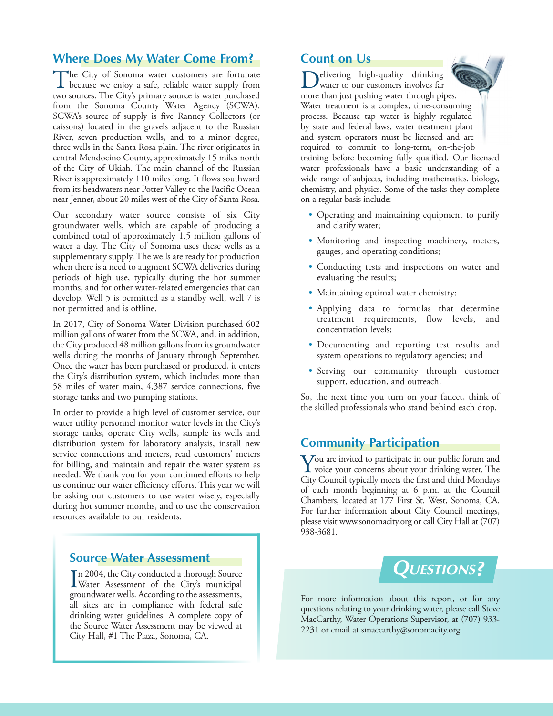## **Where Does My Water Come From?**

The City of Sonoma water customers are fortunate because we enjoy a safe, reliable water supply from two sources. The City's primary source is water purchased from the Sonoma County Water Agency (SCWA). SCWA's source of supply is five Ranney Collectors (or caissons) located in the gravels adjacent to the Russian River, seven production wells, and to a minor degree, three wells in the Santa Rosa plain. The river originates in central Mendocino County, approximately 15 miles north of the City of Ukiah. The main channel of the Russian River is approximately 110 miles long. It flows southward from its headwaters near Potter Valley to the Pacific Ocean near Jenner, about 20 miles west of the City of Santa Rosa.

Our secondary water source consists of six City groundwater wells, which are capable of producing a combined total of approximately 1.5 million gallons of water a day. The City of Sonoma uses these wells as a supplementary supply. The wells are ready for production when there is a need to augment SCWA deliveries during periods of high use, typically during the hot summer months, and for other water-related emergencies that can develop. Well 5 is permitted as a standby well, well 7 is not permitted and is offline.

In 2017, City of Sonoma Water Division purchased 602 million gallons of water from the SCWA, and, in addition, the City produced 48 million gallons from its groundwater wells during the months of January through September. Once the water has been purchased or produced, it enters the City's distribution system, which includes more than 58 miles of water main, 4,387 service connections, five storage tanks and two pumping stations.

In order to provide a high level of customer service, our water utility personnel monitor water levels in the City's storage tanks, operate City wells, sample its wells and distribution system for laboratory analysis, install new service connections and meters, read customers' meters for billing, and maintain and repair the water system as needed. We thank you for your continued efforts to help us continue our water efficiency efforts. This year we will be asking our customers to use water wisely, especially during hot summer months, and to use the conservation resources available to our residents.

#### **Source Water Assessment**

In 2004, the City conducted a thorough Source<br>Water Assessment of the City's municipal Water Assessment of the City's municipal groundwater wells. According to the assessments, all sites are in compliance with federal safe drinking water guidelines. A complete copy of the Source Water Assessment may be viewed at City Hall, #1 The Plaza, Sonoma, CA.

#### **Count on Us**

elivering high-quality drinking water to our customers involves far more than just pushing water through pipes. Water treatment is a complex, time-consuming process. Because tap water is highly regulated by state and federal laws, water treatment plant and system operators must be licensed and are required to commit to long-term, on-the-job training before becoming fully qualified. Our licensed water professionals have a basic understanding of a wide range of subjects, including mathematics, biology, chemistry, and physics. Some of the tasks they complete on a regular basis include:

- Operating and maintaining equipment to purify and clarify water;
- Monitoring and inspecting machinery, meters, gauges, and operating conditions;
- Conducting tests and inspections on water and evaluating the results;
- Maintaining optimal water chemistry;
- Applying data to formulas that determine treatment requirements, flow levels, and concentration levels;
- Documenting and reporting test results and system operations to regulatory agencies; and
- Serving our community through customer support, education, and outreach.

So, the next time you turn on your faucet, think of the skilled professionals who stand behind each drop.

## **Community Participation**

You are invited to participate in our public forum and voice your concerns about your drinking water. The City Council typically meets the first and third Mondays of each month beginning at 6 p.m. at the Council Chambers, located at 177 First St. West, Sonoma, CA. For further information about City Council meetings, please visit www.sonomacity.org or call City Hall at (707) 938-3681.



For more information about this report, or for any questions relating to your drinking water, please call Steve MacCarthy, Water Operations Supervisor, at (707) 933- 2231 or email at smaccarthy@sonomacity.org.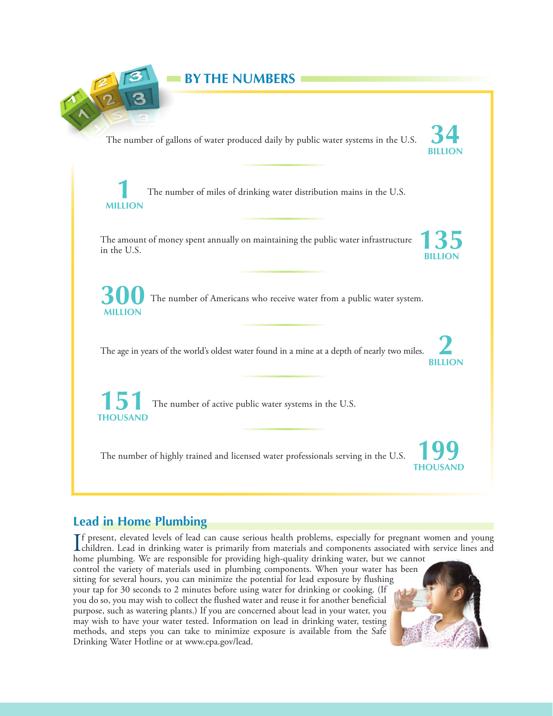

# **Lead in Home Plumbing**

If present, elevated levels of lead can cause serious health problems, especially for pregnant women and young<br>children. Lead in drinking water is primarily from materials and components associated with service lines and<br>h children. Lead in drinking water is primarily from materials and components associated with service lines and home plumbing. We are responsible for providing high-quality drinking water, but we cannot

control the variety of materials used in plumbing components. When your water has been sitting for several hours, you can minimize the potential for lead exposure by flushing your tap for 30 seconds to 2 minutes before using water for drinking or cooking. (If you do so, you may wish to collect the flushed water and reuse it for another beneficial purpose, such as watering plants.) If you are concerned about lead in your water, you may wish to have your water tested. Information on lead in drinking water, testing methods, and steps you can take to minimize exposure is available from the Safe Drinking Water Hotline or at www.epa.gov/lead.

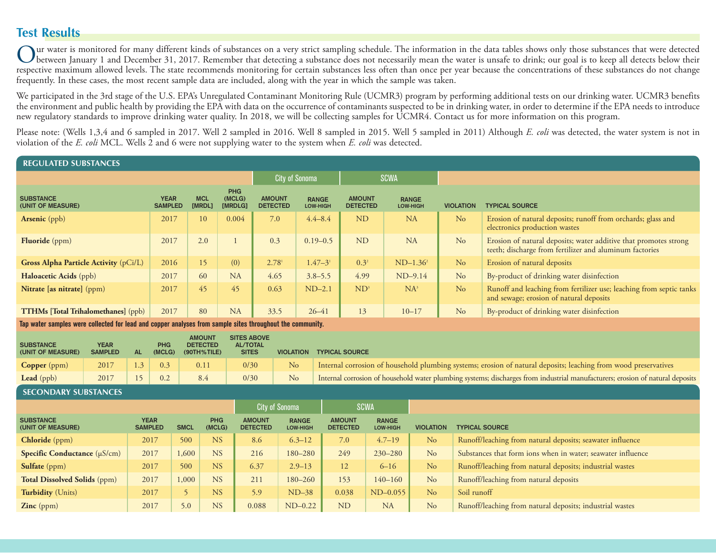# **Test Results**

Our water is monitored for many different kinds of substances on a very strict sampling schedule. The information in the data tables shows only those substances that were detected<br>between January 1 and December 31, 2017. R respective maximum allowed levels. The state recommends monitoring for certain substances less often than once per year because the concentrations of these substances do not change frequently. In these cases, the most recent sample data are included, along with the year in which the sample was taken.

We participated in the 3rd stage of the U.S. EPA's Unregulated Contaminant Monitoring Rule (UCMR3) program by performing additional tests on our drinking water. UCMR3 benefits the environment and public health by providing the EPA with data on the occurrence of contaminants suspected to be in drinking water, in order to determine if the EPA needs to introduce new regulatory standards to improve drinking water quality. In 2018, we will be collecting samples for UCMR4. Contact us for more information on this program.

Please note: (Wells 1,3,4 and 6 sampled in 2017. Well 2 sampled in 2016. Well 8 sampled in 2015. Well 5 sampled in 2011) Although *E. coli* was detected, the water system is not in violation of the *E. coli* MCL. Wells 2 and 6 were not supplying water to the system when *E. coli* was detected.

#### **REGULATED SUBSTANCES**

|                                            | <b>City of Sonoma</b>         |                      | <b>SCWA</b>                     |                                  |                                 |                                  |                          |                  |                                                                                                                             |
|--------------------------------------------|-------------------------------|----------------------|---------------------------------|----------------------------------|---------------------------------|----------------------------------|--------------------------|------------------|-----------------------------------------------------------------------------------------------------------------------------|
| <b>SUBSTANCE</b><br>(UNIT OF MEASURE)      | <b>YEAR</b><br><b>SAMPLED</b> | <b>MCL</b><br>[MRDL] | <b>PHG</b><br>(MCLG)<br>[MRDLG] | <b>AMOUNT</b><br><b>DETECTED</b> | <b>RANGE</b><br><b>LOW-HIGH</b> | <b>AMOUNT</b><br><b>DETECTED</b> | <b>RANGE</b><br>LOW-HIGH | <b>VIOLATION</b> | <b>TYPICAL SOURCE</b>                                                                                                       |
| <b>Arsenic</b> (ppb)                       | 2017                          | 10                   | 0.004                           | 7.0                              | $4.4 - 8.4$                     | <b>ND</b>                        | <b>NA</b>                | N <sub>o</sub>   | Erosion of natural deposits; runoff from orchards; glass and<br>electronics production wastes                               |
| <b>Fluoride</b> (ppm)                      | 2017                          | 2.0                  |                                 | 0.3                              | $0.19 - 0.5$                    | <b>ND</b>                        | <b>NA</b>                | No               | Erosion of natural deposits; water additive that promotes strong<br>teeth; discharge from fertilizer and aluminum factories |
| Gross Alpha Particle Activity (pCi/L)      | 2016                          | 15                   | (0)                             | 2.78 <sup>1</sup>                | $1.47 - 31$                     | $0.3^2$                          | $ND-1.36^2$              | No               | Erosion of natural deposits                                                                                                 |
| Haloacetic Acids (ppb)                     | 2017                          | 60                   | <b>NA</b>                       | 4.65                             | $3.8 - 5.5$                     | 4.99                             | $ND-9.14$                | No               | By-product of drinking water disinfection                                                                                   |
| Nitrate [as nitrate] (ppm)                 | 2017                          | 45                   | 45                              | 0.63                             | $ND-2.1$                        | $ND^3$                           | $NA^3$                   | No               | Runoff and leaching from fertilizer use; leaching from septic tanks<br>and sewage; erosion of natural deposits              |
| <b>TTHMs [Total Trihalomethanes]</b> (ppb) | 2017                          | 80                   | <b>NA</b>                       | 33.5                             | $26 - 41$                       | 13                               | $10 - 17$                | N <sub>o</sub>   | By-product of drinking water disinfection                                                                                   |

**Tap water samples were collected for lead and copper analyses from sample sites throughout the community.**

| <b>SUBSTANCE</b><br>(UNIT OF MEASURE) | <b>YEAR</b><br><b>SAMPLED</b> | AL | <b>PHG</b>                                                    | <b>AMOUNT</b><br><b>DETECTED</b><br>$(MCLG)$ (90TH%TILE) | <b>SITES ABOVE</b><br><b>AL/TOTAL</b><br><b>SITES</b> |                | VIOLATION TYPICAL SOURCE                                                                                                      |
|---------------------------------------|-------------------------------|----|---------------------------------------------------------------|----------------------------------------------------------|-------------------------------------------------------|----------------|-------------------------------------------------------------------------------------------------------------------------------|
| <b>Copper</b> (ppm)                   | 2017                          |    | $\begin{array}{ c c c c c c c c } \hline \end{array}$ 1.3 0.3 | 0.11                                                     | 0/30                                                  | N <sub>o</sub> | Internal corrosion of household plumbing systems; erosion of natural deposits; leaching from wood preservatives               |
| <b>Lead</b> (ppb)                     | 2017                          | 15 | 0.2                                                           | 8.4                                                      | 0/30                                                  | N <sub>o</sub> | Internal corrosion of household water plumbing systems; discharges from industrial manufacturers; erosion of natural deposits |

#### **SECONDARY SUBSTANCES**

|                                       |                               |             |               |                                  | <b>City of Sonoma</b>           | <b>SCWA</b>                      |                                 |                  |                                                             |  |
|---------------------------------------|-------------------------------|-------------|---------------|----------------------------------|---------------------------------|----------------------------------|---------------------------------|------------------|-------------------------------------------------------------|--|
| <b>SUBSTANCE</b><br>(UNIT OF MEASURE) | <b>YEAR</b><br><b>SAMPLED</b> | <b>SMCL</b> | PHG<br>(MCLG) | <b>AMOUNT</b><br><b>DETECTED</b> | <b>RANGE</b><br><b>LOW-HIGH</b> | <b>AMOUNT</b><br><b>DETECTED</b> | <b>RANGE</b><br><b>LOW-HIGH</b> | <b>VIOLATION</b> | <b>TYPICAL SOURCE</b>                                       |  |
| Chloride (ppm)                        | 2017                          | 500         | <b>NS</b>     | 8.6                              | $6.3 - 12$                      | 7.0                              | $4.7 - 19$                      | No               | Runoff/leaching from natural deposits; seawater influence   |  |
| Specific Conductance (µS/cm)          | 2017                          | 1,600       | <b>NS</b>     | 216                              | 180-280                         | 249                              | $230 - 280$                     | No               | Substances that form ions when in water; seawater influence |  |
| Sulfate (ppm)                         | 2017                          | 500         | <b>NS</b>     | 6.37                             | $2.9 - 13$                      | 12 <sup>°</sup>                  | $6 - 16$                        | N <sub>o</sub>   | Runoff/leaching from natural deposits; industrial wastes    |  |
| <b>Total Dissolved Solids (ppm)</b>   | 2017                          | 1,000       | <b>NS</b>     | 211                              | 180-260                         | 153                              | $140 - 160$                     | No               | Runoff/leaching from natural deposits                       |  |
| <b>Turbidity</b> (Units)              | 2017                          |             | <b>NS</b>     | 5.9                              | $ND-38$                         | 0.038                            | $ND-0.055$                      | N <sub>o</sub>   | Soil runoff                                                 |  |
| $\text{Zinc (ppm)}$                   | 2017                          | 5.0         | <b>NS</b>     | 0.088                            | $ND-0.22$                       | <b>ND</b>                        | <b>NA</b>                       | No               | Runoff/leaching from natural deposits; industrial wastes    |  |